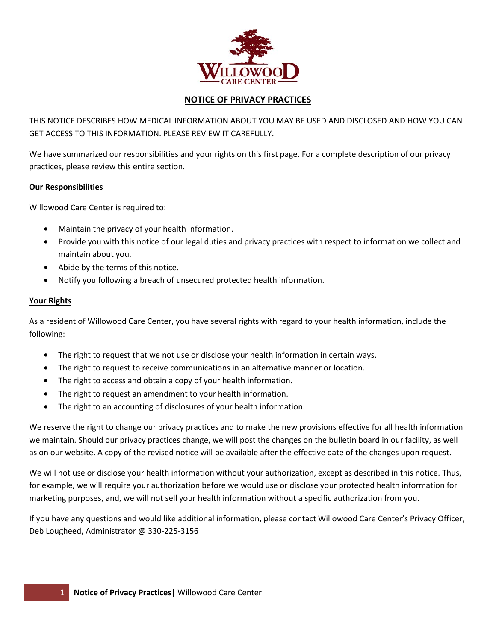

## **NOTICE OF PRIVACY PRACTICES**

THIS NOTICE DESCRIBES HOW MEDICAL INFORMATION ABOUT YOU MAY BE USED AND DISCLOSED AND HOW YOU CAN GET ACCESS TO THIS INFORMATION. PLEASE REVIEW IT CAREFULLY.

We have summarized our responsibilities and your rights on this first page. For a complete description of our privacy practices, please review this entire section.

#### **Our Responsibilities**

Willowood Care Center is required to:

- Maintain the privacy of your health information.
- Provide you with this notice of our legal duties and privacy practices with respect to information we collect and maintain about you.
- Abide by the terms of this notice.
- Notify you following a breach of unsecured protected health information.

#### **Your Rights**

As a resident of Willowood Care Center, you have several rights with regard to your health information, include the following:

- The right to request that we not use or disclose your health information in certain ways.
- The right to request to receive communications in an alternative manner or location.
- The right to access and obtain a copy of your health information.
- The right to request an amendment to your health information.
- The right to an accounting of disclosures of your health information.

We reserve the right to change our privacy practices and to make the new provisions effective for all health information we maintain. Should our privacy practices change, we will post the changes on the bulletin board in our facility, as well as on our website. A copy of the revised notice will be available after the effective date of the changes upon request.

We will not use or disclose your health information without your authorization, except as described in this notice. Thus, for example, we will require your authorization before we would use or disclose your protected health information for marketing purposes, and, we will not sell your health information without a specific authorization from you.

If you have any questions and would like additional information, please contact Willowood Care Center's Privacy Officer, Deb Lougheed, Administrator @ 330-225-3156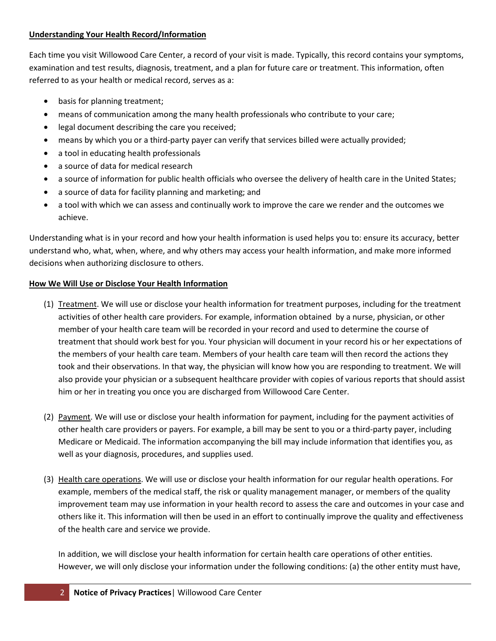#### **Understanding Your Health Record/Information**

Each time you visit Willowood Care Center, a record of your visit is made. Typically, this record contains your symptoms, examination and test results, diagnosis, treatment, and a plan for future care or treatment. This information, often referred to as your health or medical record, serves as a:

- basis for planning treatment;
- means of communication among the many health professionals who contribute to your care;
- legal document describing the care you received;
- means by which you or a third-party payer can verify that services billed were actually provided;
- a tool in educating health professionals
- a source of data for medical research
- a source of information for public health officials who oversee the delivery of health care in the United States;
- a source of data for facility planning and marketing; and
- a tool with which we can assess and continually work to improve the care we render and the outcomes we achieve.

Understanding what is in your record and how your health information is used helps you to: ensure its accuracy, better understand who, what, when, where, and why others may access your health information, and make more informed decisions when authorizing disclosure to others.

## **How We Will Use or Disclose Your Health Information**

- (1) Treatment. We will use or disclose your health information for treatment purposes, including for the treatment activities of other health care providers. For example, information obtained by a nurse, physician, or other member of your health care team will be recorded in your record and used to determine the course of treatment that should work best for you. Your physician will document in your record his or her expectations of the members of your health care team. Members of your health care team will then record the actions they took and their observations. In that way, the physician will know how you are responding to treatment. We will also provide your physician or a subsequent healthcare provider with copies of various reports that should assist him or her in treating you once you are discharged from Willowood Care Center.
- (2) Payment. We will use or disclose your health information for payment, including for the payment activities of other health care providers or payers. For example, a bill may be sent to you or a third-party payer, including Medicare or Medicaid. The information accompanying the bill may include information that identifies you, as well as your diagnosis, procedures, and supplies used.
- (3) Health care operations. We will use or disclose your health information for our regular health operations. For example, members of the medical staff, the risk or quality management manager, or members of the quality improvement team may use information in your health record to assess the care and outcomes in your case and others like it. This information will then be used in an effort to continually improve the quality and effectiveness of the health care and service we provide.

In addition, we will disclose your health information for certain health care operations of other entities. However, we will only disclose your information under the following conditions: (a) the other entity must have,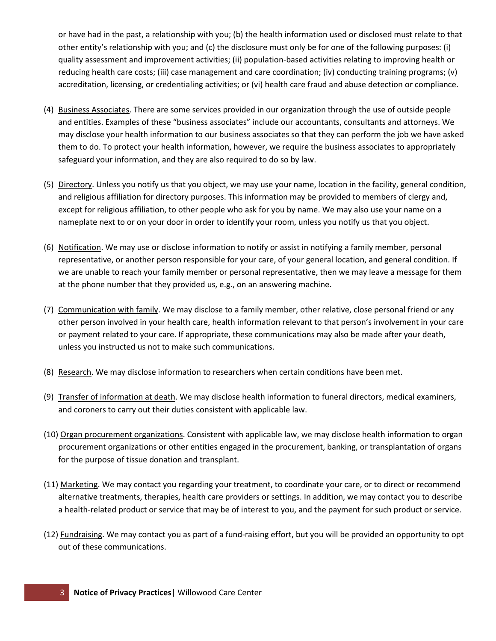or have had in the past, a relationship with you; (b) the health information used or disclosed must relate to that other entity's relationship with you; and (c) the disclosure must only be for one of the following purposes: (i) quality assessment and improvement activities; (ii) population-based activities relating to improving health or reducing health care costs; (iii) case management and care coordination; (iv) conducting training programs; (v) accreditation, licensing, or credentialing activities; or (vi) health care fraud and abuse detection or compliance.

- (4) Business Associates. There are some services provided in our organization through the use of outside people and entities. Examples of these "business associates" include our accountants, consultants and attorneys. We may disclose your health information to our business associates so that they can perform the job we have asked them to do. To protect your health information, however, we require the business associates to appropriately safeguard your information, and they are also required to do so by law.
- (5) Directory. Unless you notify us that you object, we may use your name, location in the facility, general condition, and religious affiliation for directory purposes. This information may be provided to members of clergy and, except for religious affiliation, to other people who ask for you by name. We may also use your name on a nameplate next to or on your door in order to identify your room, unless you notify us that you object.
- (6) Notification. We may use or disclose information to notify or assist in notifying a family member, personal representative, or another person responsible for your care, of your general location, and general condition. If we are unable to reach your family member or personal representative, then we may leave a message for them at the phone number that they provided us, e.g., on an answering machine.
- (7) Communication with family. We may disclose to a family member, other relative, close personal friend or any other person involved in your health care, health information relevant to that person's involvement in your care or payment related to your care. If appropriate, these communications may also be made after your death, unless you instructed us not to make such communications.
- (8) Research. We may disclose information to researchers when certain conditions have been met.
- (9) Transfer of information at death. We may disclose health information to funeral directors, medical examiners, and coroners to carry out their duties consistent with applicable law.
- (10) Organ procurement organizations. Consistent with applicable law, we may disclose health information to organ procurement organizations or other entities engaged in the procurement, banking, or transplantation of organs for the purpose of tissue donation and transplant.
- (11) Marketing. We may contact you regarding your treatment, to coordinate your care, or to direct or recommend alternative treatments, therapies, health care providers or settings. In addition, we may contact you to describe a health-related product or service that may be of interest to you, and the payment for such product or service.
- (12) Fundraising. We may contact you as part of a fund-raising effort, but you will be provided an opportunity to opt out of these communications.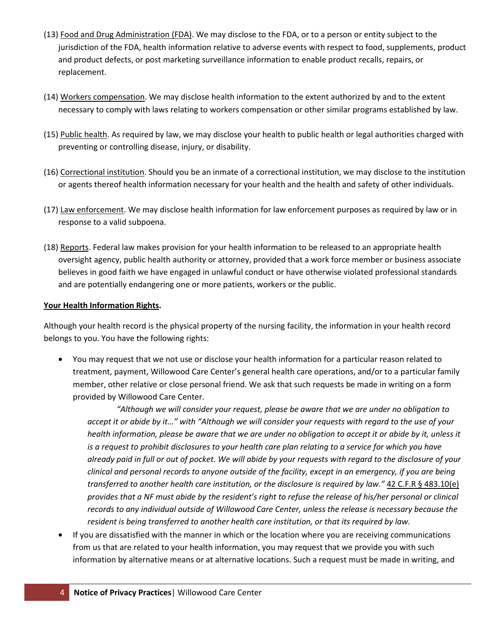- (13) Food and Drug Administration (FDA). We may disclose to the FDA, or to a person or entity subject to the jurisdiction of the FDA, health information relative to adverse events with respect to food, supplements, product and product defects, or post marketing surveillance information to enable product recalls, repairs, or replacement.
- (14) Workers compensation. We may disclose health information to the extent authorized by and to the extent necessary to comply with laws relating to workers compensation or other similar programs established by law.
- (15) Public health. As required by law, we may disclose your health to public health or legal authorities charged with preventing or controlling disease, injury, or disability.
- (16) Correctional institution. Should you be an inmate of a correctional institution, we may disclose to the institution or agents thereof health information necessary for your health and the health and safety of other individuals.
- (17) Law enforcement. We may disclose health information for law enforcement purposes as required by law or in response to a valid subpoena.
- (18) Reports. Federal law makes provision for your health information to be released to an appropriate health oversight agency, public health authority or attorney, provided that a work force member or business associate believes in good faith we have engaged in unlawful conduct or have otherwise violated professional standards and are potentially endangering one or more patients, workers or the public.

### **Your Health Information Rights.**

Although your health record is the physical property of the nursing facility, the information in your health record belongs to you. You have the following rights:

• You may request that we not use or disclose your health information for a particular reason related to treatment, payment, Willowood Care Center's general health care operations, and/or to a particular family member, other relative or close personal friend. We ask that such requests be made in writing on a form provided by Willowood Care Center.

*"Although we will consider your request, please be aware that we are under no obligation to accept it or abide by it…" with "Although we will consider your requests with regard to the use of your health information, please be aware that we are under no obligation to accept it or abide by it, unless it is a request to prohibit disclosures to your health care plan relating to a service for which you have already paid in full or out of pocket. We will abide by your requests with regard to the disclosure of your clinical and personal records to anyone outside of the facility, except in an emergency, if you are being transferred to another health care institution, or the disclosure is required by law."* 42 C.F.R § 483.10(e) *provides that a NF must abide by the resident's right to refuse the release of his/her personal or clinical records to any individual outside of Willowood Care Center, unless the release is necessary because the resident is being transferred to another health care institution, or that its required by law.*

• If you are dissatisfied with the manner in which or the location where you are receiving communications from us that are related to your health information, you may request that we provide you with such information by alternative means or at alternative locations. Such a request must be made in writing, and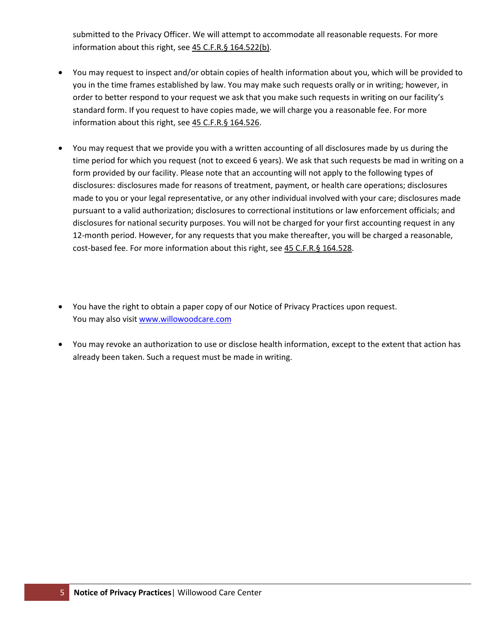submitted to the Privacy Officer. We will attempt to accommodate all reasonable requests. For more information about this right, see 45 C.F.R.§ 164.522(b).

- You may request to inspect and/or obtain copies of health information about you, which will be provided to you in the time frames established by law. You may make such requests orally or in writing; however, in order to better respond to your request we ask that you make such requests in writing on our facility's standard form. If you request to have copies made, we will charge you a reasonable fee. For more information about this right, see 45 C.F.R.§ 164.526.
- You may request that we provide you with a written accounting of all disclosures made by us during the time period for which you request (not to exceed 6 years). We ask that such requests be mad in writing on a form provided by our facility. Please note that an accounting will not apply to the following types of disclosures: disclosures made for reasons of treatment, payment, or health care operations; disclosures made to you or your legal representative, or any other individual involved with your care; disclosures made pursuant to a valid authorization; disclosures to correctional institutions or law enforcement officials; and disclosures for national security purposes. You will not be charged for your first accounting request in any 12-month period. However, for any requests that you make thereafter, you will be charged a reasonable, cost-based fee. For more information about this right, see 45 C.F.R.§ 164.528.
- You have the right to obtain a paper copy of our Notice of Privacy Practices upon request. You may also visit [www.willowoodcare.com](http://www.willowoodcare.com/)
- You may revoke an authorization to use or disclose health information, except to the extent that action has already been taken. Such a request must be made in writing.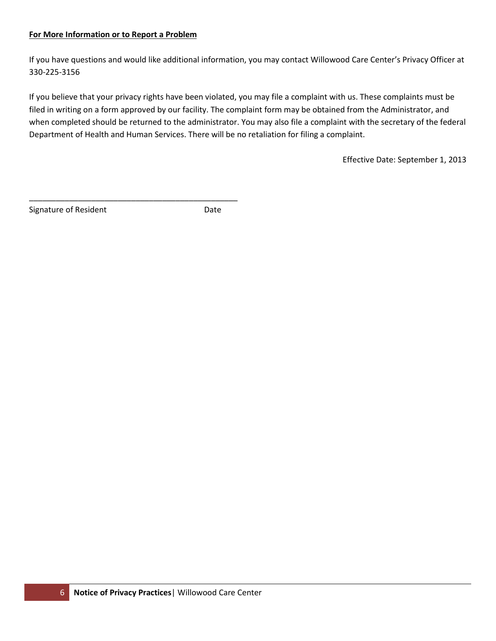#### **For More Information or to Report a Problem**

 $\mathcal{L}_\text{max}$  and  $\mathcal{L}_\text{max}$  and  $\mathcal{L}_\text{max}$  and  $\mathcal{L}_\text{max}$  and  $\mathcal{L}_\text{max}$ 

If you have questions and would like additional information, you may contact Willowood Care Center's Privacy Officer at 330-225-3156

If you believe that your privacy rights have been violated, you may file a complaint with us. These complaints must be filed in writing on a form approved by our facility. The complaint form may be obtained from the Administrator, and when completed should be returned to the administrator. You may also file a complaint with the secretary of the federal Department of Health and Human Services. There will be no retaliation for filing a complaint.

Effective Date: September 1, 2013

Signature of Resident **Date**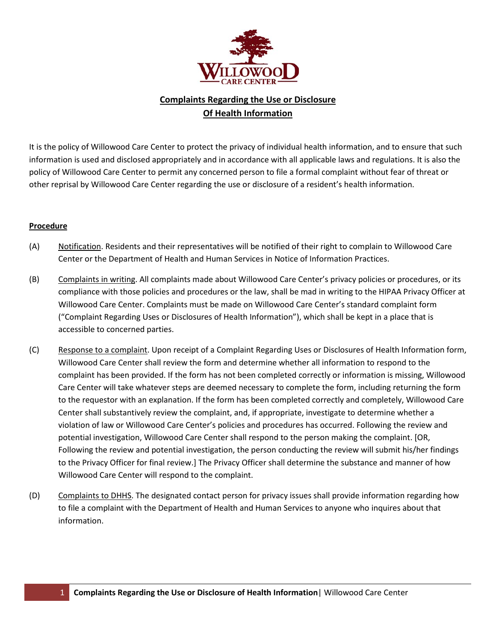

# **Complaints Regarding the Use or Disclosure Of Health Information**

It is the policy of Willowood Care Center to protect the privacy of individual health information, and to ensure that such information is used and disclosed appropriately and in accordance with all applicable laws and regulations. It is also the policy of Willowood Care Center to permit any concerned person to file a formal complaint without fear of threat or other reprisal by Willowood Care Center regarding the use or disclosure of a resident's health information.

#### **Procedure**

- (A) Notification. Residents and their representatives will be notified of their right to complain to Willowood Care Center or the Department of Health and Human Services in Notice of Information Practices.
- (B) Complaints in writing. All complaints made about Willowood Care Center's privacy policies or procedures, or its compliance with those policies and procedures or the law, shall be mad in writing to the HIPAA Privacy Officer at Willowood Care Center. Complaints must be made on Willowood Care Center's standard complaint form ("Complaint Regarding Uses or Disclosures of Health Information"), which shall be kept in a place that is accessible to concerned parties.
- (C) Response to a complaint. Upon receipt of a Complaint Regarding Uses or Disclosures of Health Information form, Willowood Care Center shall review the form and determine whether all information to respond to the complaint has been provided. If the form has not been completed correctly or information is missing, Willowood Care Center will take whatever steps are deemed necessary to complete the form, including returning the form to the requestor with an explanation. If the form has been completed correctly and completely, Willowood Care Center shall substantively review the complaint, and, if appropriate, investigate to determine whether a violation of law or Willowood Care Center's policies and procedures has occurred. Following the review and potential investigation, Willowood Care Center shall respond to the person making the complaint. [OR, Following the review and potential investigation, the person conducting the review will submit his/her findings to the Privacy Officer for final review.] The Privacy Officer shall determine the substance and manner of how Willowood Care Center will respond to the complaint.
- (D) Complaints to DHHS. The designated contact person for privacy issues shall provide information regarding how to file a complaint with the Department of Health and Human Services to anyone who inquires about that information.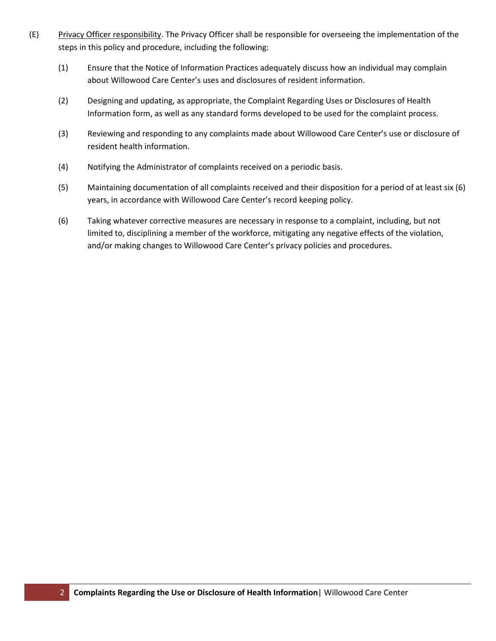- (E) Privacy Officer responsibility. The Privacy Officer shall be responsible for overseeing the implementation of the steps in this policy and procedure, including the following:
	- (1) Ensure that the Notice of Information Practices adequately discuss how an individual may complain about Willowood Care Center's uses and disclosures of resident information.
	- (2) Designing and updating, as appropriate, the Complaint Regarding Uses or Disclosures of Health Information form, as well as any standard forms developed to be used for the complaint process.
	- (3) Reviewing and responding to any complaints made about Willowood Care Center's use or disclosure of resident health information.
	- (4) Notifying the Administrator of complaints received on a periodic basis.
	- (5) Maintaining documentation of all complaints received and their disposition for a period of at least six (6) years, in accordance with Willowood Care Center's record keeping policy.
	- (6) Taking whatever corrective measures are necessary in response to a complaint, including, but not limited to, disciplining a member of the workforce, mitigating any negative effects of the violation, and/or making changes to Willowood Care Center's privacy policies and procedures.